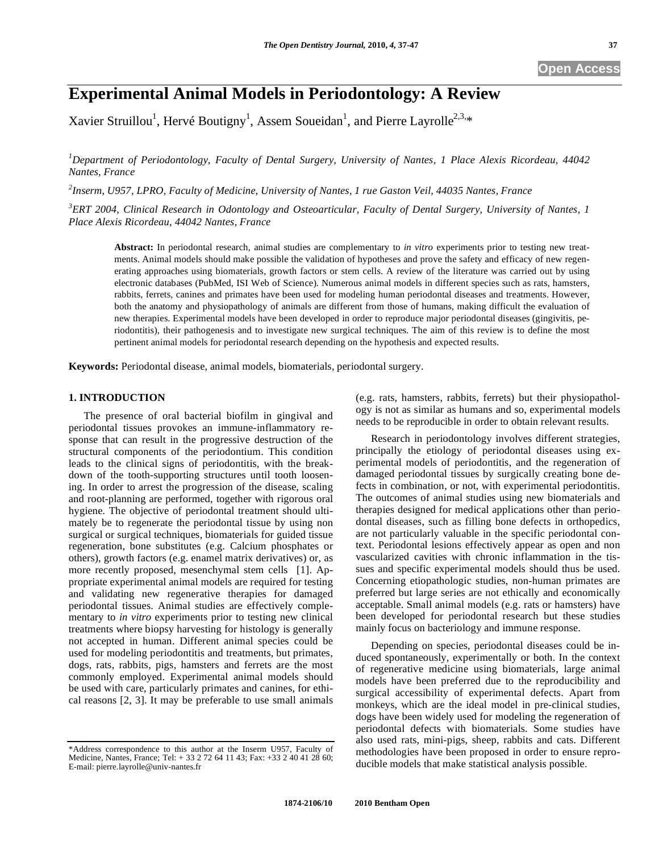# **Experimental Animal Models in Periodontology: A Review**

Xavier Struillou<sup>1</sup>, Hervé Boutigny<sup>1</sup>, Assem Soueidan<sup>1</sup>, and Pierre Layrolle<sup>2,3,\*</sup>

*1 Department of Periodontology, Faculty of Dental Surgery, University of Nantes, 1 Place Alexis Ricordeau, 44042 Nantes, France* 

*2 Inserm, U957, LPRO, Faculty of Medicine, University of Nantes, 1 rue Gaston Veil, 44035 Nantes, France* 

*3 ERT 2004, Clinical Research in Odontology and Osteoarticular, Faculty of Dental Surgery, University of Nantes, 1 Place Alexis Ricordeau, 44042 Nantes, France* 

**Abstract:** In periodontal research, animal studies are complementary to *in vitro* experiments prior to testing new treatments. Animal models should make possible the validation of hypotheses and prove the safety and efficacy of new regenerating approaches using biomaterials, growth factors or stem cells. A review of the literature was carried out by using electronic databases (PubMed, ISI Web of Science). Numerous animal models in different species such as rats, hamsters, rabbits, ferrets, canines and primates have been used for modeling human periodontal diseases and treatments. However, both the anatomy and physiopathology of animals are different from those of humans, making difficult the evaluation of new therapies. Experimental models have been developed in order to reproduce major periodontal diseases (gingivitis, periodontitis), their pathogenesis and to investigate new surgical techniques. The aim of this review is to define the most pertinent animal models for periodontal research depending on the hypothesis and expected results.

**Keywords:** Periodontal disease, animal models, biomaterials, periodontal surgery.

## **1. INTRODUCTION**

The presence of oral bacterial biofilm in gingival and periodontal tissues provokes an immune-inflammatory response that can result in the progressive destruction of the structural components of the periodontium. This condition leads to the clinical signs of periodontitis, with the breakdown of the tooth-supporting structures until tooth loosening. In order to arrest the progression of the disease, scaling and root-planning are performed, together with rigorous oral hygiene. The objective of periodontal treatment should ultimately be to regenerate the periodontal tissue by using non surgical or surgical techniques, biomaterials for guided tissue regeneration, bone substitutes (e.g. Calcium phosphates or others), growth factors (e.g. enamel matrix derivatives) or, as more recently proposed, mesenchymal stem cells [1]. Appropriate experimental animal models are required for testing and validating new regenerative therapies for damaged periodontal tissues. Animal studies are effectively complementary to *in vitro* experiments prior to testing new clinical treatments where biopsy harvesting for histology is generally not accepted in human. Different animal species could be used for modeling periodontitis and treatments, but primates, dogs, rats, rabbits, pigs, hamsters and ferrets are the most commonly employed. Experimental animal models should be used with care, particularly primates and canines, for ethical reasons [2, 3]. It may be preferable to use small animals

\*Address correspondence to this author at the Inserm U957, Faculty of Medicine, Nantes, France; Tel: + 33 2 72 64 11 43; Fax: +33 2 40 41 28 60; E-mail: pierre.layrolle@univ-nantes.fr

(e.g. rats, hamsters, rabbits, ferrets) but their physiopathology is not as similar as humans and so, experimental models needs to be reproducible in order to obtain relevant results.

Research in periodontology involves different strategies, principally the etiology of periodontal diseases using experimental models of periodontitis, and the regeneration of damaged periodontal tissues by surgically creating bone defects in combination, or not, with experimental periodontitis. The outcomes of animal studies using new biomaterials and therapies designed for medical applications other than periodontal diseases, such as filling bone defects in orthopedics, are not particularly valuable in the specific periodontal context. Periodontal lesions effectively appear as open and non vascularized cavities with chronic inflammation in the tissues and specific experimental models should thus be used. Concerning etiopathologic studies, non-human primates are preferred but large series are not ethically and economically acceptable. Small animal models (e.g. rats or hamsters) have been developed for periodontal research but these studies mainly focus on bacteriology and immune response.

Depending on species, periodontal diseases could be induced spontaneously, experimentally or both. In the context of regenerative medicine using biomaterials, large animal models have been preferred due to the reproducibility and surgical accessibility of experimental defects. Apart from monkeys, which are the ideal model in pre-clinical studies, dogs have been widely used for modeling the regeneration of periodontal defects with biomaterials. Some studies have also used rats, mini-pigs, sheep, rabbits and cats. Different methodologies have been proposed in order to ensure reproducible models that make statistical analysis possible.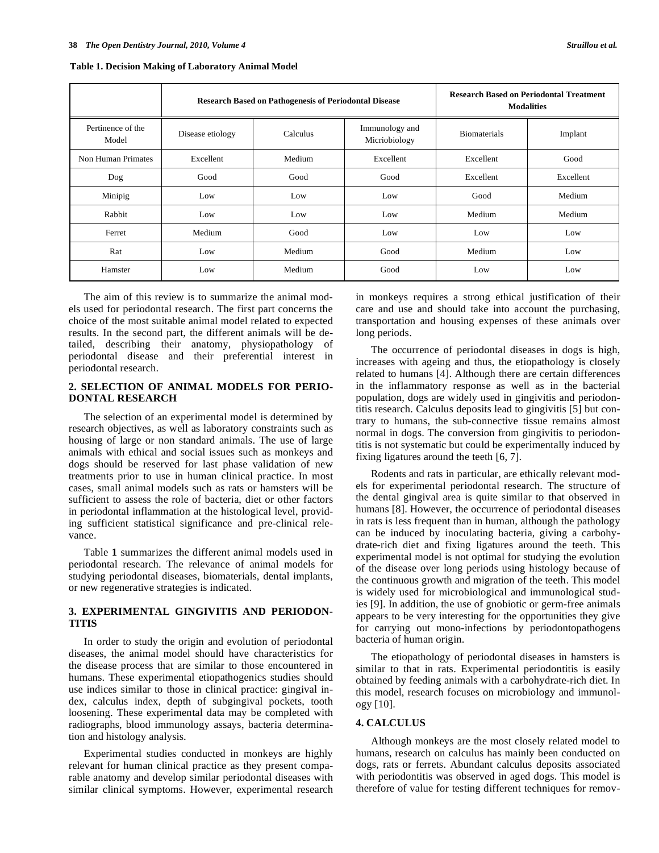|                            | <b>Research Based on Pathogenesis of Periodontal Disease</b> |                 |                                 | <b>Research Based on Periodontal Treatment</b><br><b>Modalities</b> |           |
|----------------------------|--------------------------------------------------------------|-----------------|---------------------------------|---------------------------------------------------------------------|-----------|
| Pertinence of the<br>Model | Disease etiology                                             | <b>Calculus</b> | Immunology and<br>Micriobiology | <b>Biomaterials</b>                                                 | Implant   |
| Non Human Primates         | Excellent                                                    | Medium          | Excellent                       | Excellent                                                           | Good      |
| Dog                        | Good                                                         | Good            | Good                            | Excellent                                                           | Excellent |
| Minipig                    | Low                                                          | Low             | Low                             | Good                                                                | Medium    |
| Rabbit                     | Low                                                          | Low             | Low                             | Medium                                                              | Medium    |
| Ferret                     | Medium                                                       | Good            | Low                             | Low                                                                 | Low       |
| Rat                        | Low                                                          | Medium          | Good                            | Medium                                                              | Low       |
| Hamster                    | Low                                                          | Medium          | Good                            | Low                                                                 | Low       |

**Table 1. Decision Making of Laboratory Animal Model** 

The aim of this review is to summarize the animal models used for periodontal research. The first part concerns the choice of the most suitable animal model related to expected results. In the second part, the different animals will be detailed, describing their anatomy, physiopathology of periodontal disease and their preferential interest in periodontal research.

## **2. SELECTION OF ANIMAL MODELS FOR PERIO-DONTAL RESEARCH**

The selection of an experimental model is determined by research objectives, as well as laboratory constraints such as housing of large or non standard animals. The use of large animals with ethical and social issues such as monkeys and dogs should be reserved for last phase validation of new treatments prior to use in human clinical practice. In most cases, small animal models such as rats or hamsters will be sufficient to assess the role of bacteria, diet or other factors in periodontal inflammation at the histological level, providing sufficient statistical significance and pre-clinical relevance.

Table **1** summarizes the different animal models used in periodontal research. The relevance of animal models for studying periodontal diseases, biomaterials, dental implants, or new regenerative strategies is indicated.

# **3. EXPERIMENTAL GINGIVITIS AND PERIODON-TITIS**

In order to study the origin and evolution of periodontal diseases, the animal model should have characteristics for the disease process that are similar to those encountered in humans. These experimental etiopathogenics studies should use indices similar to those in clinical practice: gingival index, calculus index, depth of subgingival pockets, tooth loosening. These experimental data may be completed with radiographs, blood immunology assays, bacteria determination and histology analysis.

Experimental studies conducted in monkeys are highly relevant for human clinical practice as they present comparable anatomy and develop similar periodontal diseases with similar clinical symptoms. However, experimental research in monkeys requires a strong ethical justification of their care and use and should take into account the purchasing, transportation and housing expenses of these animals over long periods.

The occurrence of periodontal diseases in dogs is high, increases with ageing and thus, the etiopathology is closely related to humans [4]. Although there are certain differences in the inflammatory response as well as in the bacterial population, dogs are widely used in gingivitis and periodontitis research. Calculus deposits lead to gingivitis [5] but contrary to humans, the sub-connective tissue remains almost normal in dogs. The conversion from gingivitis to periodontitis is not systematic but could be experimentally induced by fixing ligatures around the teeth [6, 7].

Rodents and rats in particular, are ethically relevant models for experimental periodontal research. The structure of the dental gingival area is quite similar to that observed in humans [8]. However, the occurrence of periodontal diseases in rats is less frequent than in human, although the pathology can be induced by inoculating bacteria, giving a carbohydrate-rich diet and fixing ligatures around the teeth. This experimental model is not optimal for studying the evolution of the disease over long periods using histology because of the continuous growth and migration of the teeth. This model is widely used for microbiological and immunological studies [9]. In addition, the use of gnobiotic or germ-free animals appears to be very interesting for the opportunities they give for carrying out mono-infections by periodontopathogens bacteria of human origin.

The etiopathology of periodontal diseases in hamsters is similar to that in rats. Experimental periodontitis is easily obtained by feeding animals with a carbohydrate-rich diet. In this model, research focuses on microbiology and immunology [10].

## **4. CALCULUS**

Although monkeys are the most closely related model to humans, research on calculus has mainly been conducted on dogs, rats or ferrets. Abundant calculus deposits associated with periodontitis was observed in aged dogs. This model is therefore of value for testing different techniques for remov-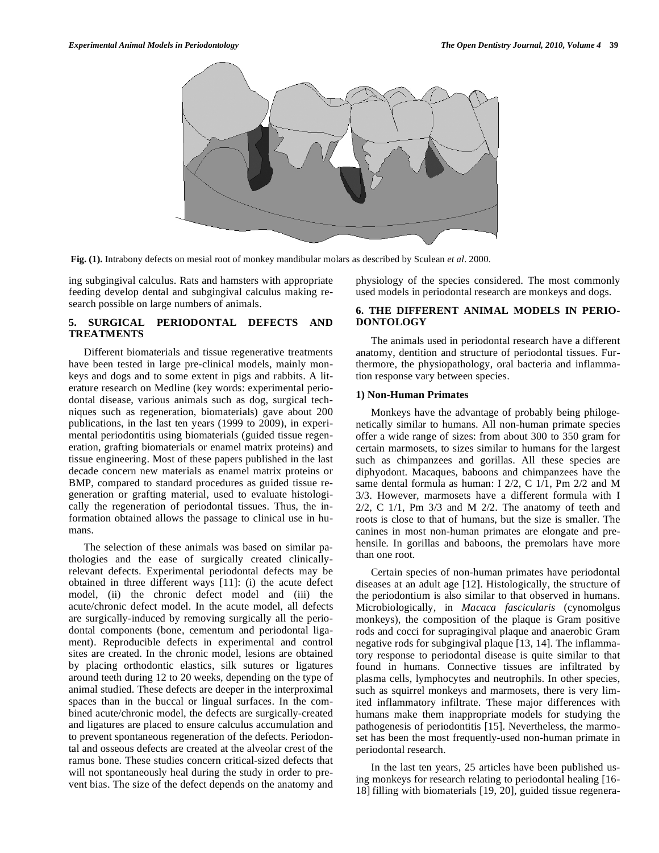

**Fig. (1).** Intrabony defects on mesial root of monkey mandibular molars as described by Sculean *et al*. 2000.

ing subgingival calculus. Rats and hamsters with appropriate feeding develop dental and subgingival calculus making research possible on large numbers of animals.

## **5. SURGICAL PERIODONTAL DEFECTS AND TREATMENTS**

Different biomaterials and tissue regenerative treatments have been tested in large pre-clinical models, mainly monkeys and dogs and to some extent in pigs and rabbits. A literature research on Medline (key words: experimental periodontal disease, various animals such as dog, surgical techniques such as regeneration, biomaterials) gave about 200 publications, in the last ten years (1999 to 2009), in experimental periodontitis using biomaterials (guided tissue regeneration, grafting biomaterials or enamel matrix proteins) and tissue engineering. Most of these papers published in the last decade concern new materials as enamel matrix proteins or BMP, compared to standard procedures as guided tissue regeneration or grafting material, used to evaluate histologically the regeneration of periodontal tissues. Thus, the information obtained allows the passage to clinical use in humans.

The selection of these animals was based on similar pathologies and the ease of surgically created clinicallyrelevant defects. Experimental periodontal defects may be obtained in three different ways [11]: (i) the acute defect model, (ii) the chronic defect model and (iii) the acute/chronic defect model. In the acute model, all defects are surgically-induced by removing surgically all the periodontal components (bone, cementum and periodontal ligament). Reproducible defects in experimental and control sites are created. In the chronic model, lesions are obtained by placing orthodontic elastics, silk sutures or ligatures around teeth during 12 to 20 weeks, depending on the type of animal studied. These defects are deeper in the interproximal spaces than in the buccal or lingual surfaces. In the combined acute/chronic model, the defects are surgically-created and ligatures are placed to ensure calculus accumulation and to prevent spontaneous regeneration of the defects. Periodontal and osseous defects are created at the alveolar crest of the ramus bone. These studies concern critical-sized defects that will not spontaneously heal during the study in order to prevent bias. The size of the defect depends on the anatomy and

physiology of the species considered. The most commonly used models in periodontal research are monkeys and dogs.

# **6. THE DIFFERENT ANIMAL MODELS IN PERIO-DONTOLOGY**

The animals used in periodontal research have a different anatomy, dentition and structure of periodontal tissues. Furthermore, the physiopathology, oral bacteria and inflammation response vary between species.

#### **1) Non-Human Primates**

Monkeys have the advantage of probably being philogenetically similar to humans. All non-human primate species offer a wide range of sizes: from about 300 to 350 gram for certain marmosets, to sizes similar to humans for the largest such as chimpanzees and gorillas. All these species are diphyodont. Macaques, baboons and chimpanzees have the same dental formula as human: I 2/2, C 1/1, Pm 2/2 and M 3/3. However, marmosets have a different formula with I  $2/2$ , C  $1/1$ , Pm  $3/3$  and M  $2/2$ . The anatomy of teeth and roots is close to that of humans, but the size is smaller. The canines in most non-human primates are elongate and prehensile. In gorillas and baboons, the premolars have more than one root.

Certain species of non-human primates have periodontal diseases at an adult age [12]. Histologically, the structure of the periodontium is also similar to that observed in humans. Microbiologically, in *Macaca fascicularis* (cynomolgus monkeys), the composition of the plaque is Gram positive rods and cocci for supragingival plaque and anaerobic Gram negative rods for subgingival plaque [13, 14]. The inflammatory response to periodontal disease is quite similar to that found in humans. Connective tissues are infiltrated by plasma cells, lymphocytes and neutrophils. In other species, such as squirrel monkeys and marmosets, there is very limited inflammatory infiltrate. These major differences with humans make them inappropriate models for studying the pathogenesis of periodontitis [15]. Nevertheless, the marmoset has been the most frequently-used non-human primate in periodontal research.

In the last ten years, 25 articles have been published using monkeys for research relating to periodontal healing [16- 18] filling with biomaterials [19, 20], guided tissue regenera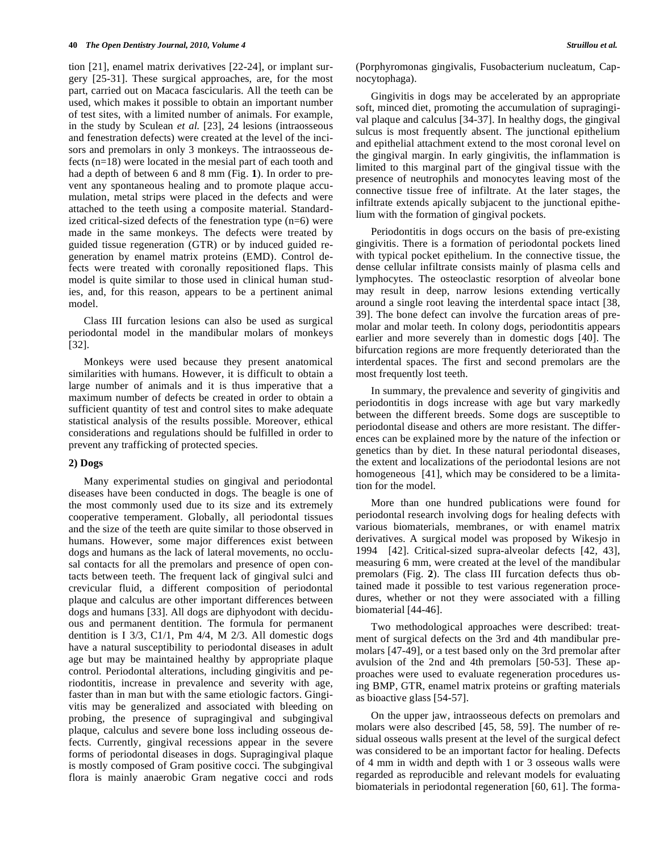tion [21], enamel matrix derivatives [22-24], or implant surgery [25-31]. These surgical approaches, are, for the most part, carried out on Macaca fascicularis. All the teeth can be used, which makes it possible to obtain an important number of test sites, with a limited number of animals. For example, in the study by Sculean *et al.* [23], 24 lesions (intraosseous and fenestration defects) were created at the level of the incisors and premolars in only 3 monkeys. The intraosseous defects (n=18) were located in the mesial part of each tooth and had a depth of between 6 and 8 mm (Fig. **1**). In order to prevent any spontaneous healing and to promote plaque accumulation, metal strips were placed in the defects and were attached to the teeth using a composite material. Standardized critical-sized defects of the fenestration type (n=6) were made in the same monkeys. The defects were treated by guided tissue regeneration (GTR) or by induced guided regeneration by enamel matrix proteins (EMD). Control defects were treated with coronally repositioned flaps. This model is quite similar to those used in clinical human studies, and, for this reason, appears to be a pertinent animal model.

Class III furcation lesions can also be used as surgical periodontal model in the mandibular molars of monkeys [32].

Monkeys were used because they present anatomical similarities with humans. However, it is difficult to obtain a large number of animals and it is thus imperative that a maximum number of defects be created in order to obtain a sufficient quantity of test and control sites to make adequate statistical analysis of the results possible. Moreover, ethical considerations and regulations should be fulfilled in order to prevent any trafficking of protected species.

#### **2) Dogs**

Many experimental studies on gingival and periodontal diseases have been conducted in dogs. The beagle is one of the most commonly used due to its size and its extremely cooperative temperament. Globally, all periodontal tissues and the size of the teeth are quite similar to those observed in humans. However, some major differences exist between dogs and humans as the lack of lateral movements, no occlusal contacts for all the premolars and presence of open contacts between teeth. The frequent lack of gingival sulci and crevicular fluid, a different composition of periodontal plaque and calculus are other important differences between dogs and humans [33]. All dogs are diphyodont with deciduous and permanent dentition. The formula for permanent dentition is I 3/3, C1/1, Pm 4/4, M 2/3. All domestic dogs have a natural susceptibility to periodontal diseases in adult age but may be maintained healthy by appropriate plaque control. Periodontal alterations, including gingivitis and periodontitis, increase in prevalence and severity with age, faster than in man but with the same etiologic factors. Gingivitis may be generalized and associated with bleeding on probing, the presence of supragingival and subgingival plaque, calculus and severe bone loss including osseous defects. Currently, gingival recessions appear in the severe forms of periodontal diseases in dogs. Supragingival plaque is mostly composed of Gram positive cocci. The subgingival flora is mainly anaerobic Gram negative cocci and rods (Porphyromonas gingivalis, Fusobacterium nucleatum, Capnocytophaga).

Gingivitis in dogs may be accelerated by an appropriate soft, minced diet, promoting the accumulation of supragingival plaque and calculus [34-37]. In healthy dogs, the gingival sulcus is most frequently absent. The junctional epithelium and epithelial attachment extend to the most coronal level on the gingival margin. In early gingivitis, the inflammation is limited to this marginal part of the gingival tissue with the presence of neutrophils and monocytes leaving most of the connective tissue free of infiltrate. At the later stages, the infiltrate extends apically subjacent to the junctional epithelium with the formation of gingival pockets.

Periodontitis in dogs occurs on the basis of pre-existing gingivitis. There is a formation of periodontal pockets lined with typical pocket epithelium. In the connective tissue, the dense cellular infiltrate consists mainly of plasma cells and lymphocytes. The osteoclastic resorption of alveolar bone may result in deep, narrow lesions extending vertically around a single root leaving the interdental space intact [38, 39]. The bone defect can involve the furcation areas of premolar and molar teeth. In colony dogs, periodontitis appears earlier and more severely than in domestic dogs [40]. The bifurcation regions are more frequently deteriorated than the interdental spaces. The first and second premolars are the most frequently lost teeth.

In summary, the prevalence and severity of gingivitis and periodontitis in dogs increase with age but vary markedly between the different breeds. Some dogs are susceptible to periodontal disease and others are more resistant. The differences can be explained more by the nature of the infection or genetics than by diet. In these natural periodontal diseases, the extent and localizations of the periodontal lesions are not homogeneous [41], which may be considered to be a limitation for the model.

More than one hundred publications were found for periodontal research involving dogs for healing defects with various biomaterials, membranes, or with enamel matrix derivatives. A surgical model was proposed by Wikesjo in 1994 [42]. Critical-sized supra-alveolar defects [42, 43], measuring 6 mm, were created at the level of the mandibular premolars (Fig. **2**). The class III furcation defects thus obtained made it possible to test various regeneration procedures, whether or not they were associated with a filling biomaterial [44-46].

Two methodological approaches were described: treatment of surgical defects on the 3rd and 4th mandibular premolars [47-49], or a test based only on the 3rd premolar after avulsion of the 2nd and 4th premolars [50-53]. These approaches were used to evaluate regeneration procedures using BMP, GTR, enamel matrix proteins or grafting materials as bioactive glass [54-57].

On the upper jaw, intraosseous defects on premolars and molars were also described [45, 58, 59]. The number of residual osseous walls present at the level of the surgical defect was considered to be an important factor for healing. Defects of 4 mm in width and depth with 1 or 3 osseous walls were regarded as reproducible and relevant models for evaluating biomaterials in periodontal regeneration [60, 61]. The forma-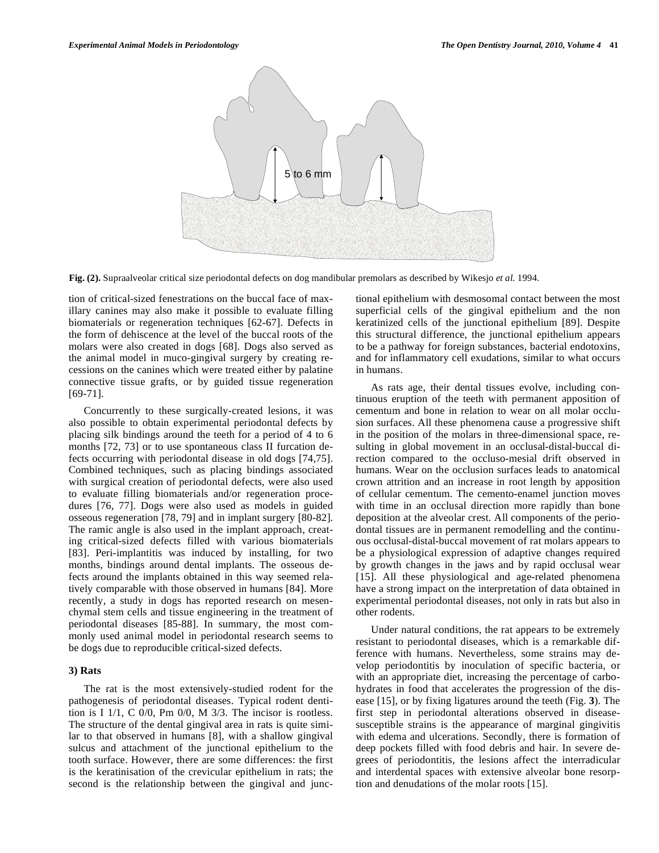

**Fig. (2).** Supraalveolar critical size periodontal defects on dog mandibular premolars as described by Wikesjo *et al.* 1994.

tion of critical-sized fenestrations on the buccal face of maxillary canines may also make it possible to evaluate filling biomaterials or regeneration techniques [62-67]. Defects in the form of dehiscence at the level of the buccal roots of the molars were also created in dogs [68]. Dogs also served as the animal model in muco-gingival surgery by creating recessions on the canines which were treated either by palatine connective tissue grafts, or by guided tissue regeneration [69-71].

Concurrently to these surgically-created lesions, it was also possible to obtain experimental periodontal defects by placing silk bindings around the teeth for a period of 4 to 6 months [72, 73] or to use spontaneous class II furcation defects occurring with periodontal disease in old dogs [74,75]. Combined techniques, such as placing bindings associated with surgical creation of periodontal defects, were also used to evaluate filling biomaterials and/or regeneration procedures [76, 77]. Dogs were also used as models in guided osseous regeneration [78, 79] and in implant surgery [80-82]. The ramic angle is also used in the implant approach, creating critical-sized defects filled with various biomaterials [83]. Peri-implantitis was induced by installing, for two months, bindings around dental implants. The osseous defects around the implants obtained in this way seemed relatively comparable with those observed in humans [84]. More recently, a study in dogs has reported research on mesenchymal stem cells and tissue engineering in the treatment of periodontal diseases [85-88]. In summary, the most commonly used animal model in periodontal research seems to be dogs due to reproducible critical-sized defects.

## **3) Rats**

The rat is the most extensively-studied rodent for the pathogenesis of periodontal diseases. Typical rodent dentition is I 1/1, C 0/0, Pm 0/0, M 3/3. The incisor is rootless. The structure of the dental gingival area in rats is quite similar to that observed in humans [8], with a shallow gingival sulcus and attachment of the junctional epithelium to the tooth surface. However, there are some differences: the first is the keratinisation of the crevicular epithelium in rats; the second is the relationship between the gingival and junctional epithelium with desmosomal contact between the most superficial cells of the gingival epithelium and the non keratinized cells of the junctional epithelium [89]. Despite this structural difference, the junctional epithelium appears to be a pathway for foreign substances, bacterial endotoxins, and for inflammatory cell exudations, similar to what occurs in humans.

As rats age, their dental tissues evolve, including continuous eruption of the teeth with permanent apposition of cementum and bone in relation to wear on all molar occlusion surfaces. All these phenomena cause a progressive shift in the position of the molars in three-dimensional space, resulting in global movement in an occlusal-distal-buccal direction compared to the occluso-mesial drift observed in humans. Wear on the occlusion surfaces leads to anatomical crown attrition and an increase in root length by apposition of cellular cementum. The cemento-enamel junction moves with time in an occlusal direction more rapidly than bone deposition at the alveolar crest. All components of the periodontal tissues are in permanent remodelling and the continuous occlusal-distal-buccal movement of rat molars appears to be a physiological expression of adaptive changes required by growth changes in the jaws and by rapid occlusal wear [15]. All these physiological and age-related phenomena have a strong impact on the interpretation of data obtained in experimental periodontal diseases, not only in rats but also in other rodents.

Under natural conditions, the rat appears to be extremely resistant to periodontal diseases, which is a remarkable difference with humans. Nevertheless, some strains may develop periodontitis by inoculation of specific bacteria, or with an appropriate diet, increasing the percentage of carbohydrates in food that accelerates the progression of the disease [15], or by fixing ligatures around the teeth (Fig. **3**). The first step in periodontal alterations observed in diseasesusceptible strains is the appearance of marginal gingivitis with edema and ulcerations. Secondly, there is formation of deep pockets filled with food debris and hair. In severe degrees of periodontitis, the lesions affect the interradicular and interdental spaces with extensive alveolar bone resorption and denudations of the molar roots [15].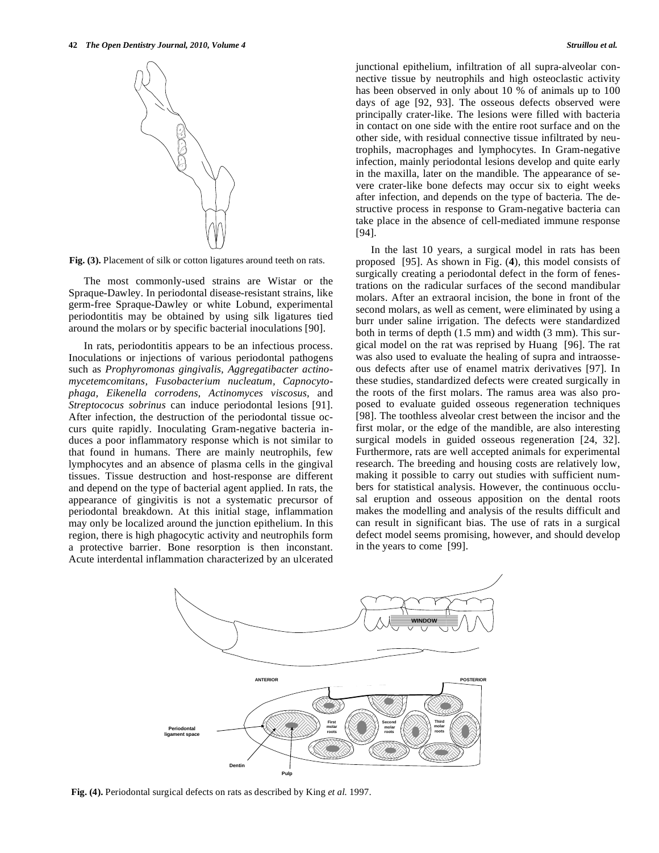

**Fig. (3).** Placement of silk or cotton ligatures around teeth on rats.

The most commonly-used strains are Wistar or the Spraque-Dawley. In periodontal disease-resistant strains, like germ-free Spraque-Dawley or white Lobund, experimental periodontitis may be obtained by using silk ligatures tied around the molars or by specific bacterial inoculations [90].

In rats, periodontitis appears to be an infectious process. Inoculations or injections of various periodontal pathogens such as *Prophyromonas gingivalis, Aggregatibacter actinomycetemcomitans, Fusobacterium nucleatum, Capnocytophaga, Eikenella corrodens, Actinomyces viscosus,* and *Streptococus sobrinus* can induce periodontal lesions [91]. After infection, the destruction of the periodontal tissue occurs quite rapidly. Inoculating Gram-negative bacteria induces a poor inflammatory response which is not similar to that found in humans. There are mainly neutrophils, few lymphocytes and an absence of plasma cells in the gingival tissues. Tissue destruction and host-response are different and depend on the type of bacterial agent applied. In rats, the appearance of gingivitis is not a systematic precursor of periodontal breakdown. At this initial stage, inflammation may only be localized around the junction epithelium. In this region, there is high phagocytic activity and neutrophils form a protective barrier. Bone resorption is then inconstant. Acute interdental inflammation characterized by an ulcerated junctional epithelium, infiltration of all supra-alveolar connective tissue by neutrophils and high osteoclastic activity has been observed in only about 10 % of animals up to 100 days of age [92, 93]. The osseous defects observed were principally crater-like. The lesions were filled with bacteria in contact on one side with the entire root surface and on the other side, with residual connective tissue infiltrated by neutrophils, macrophages and lymphocytes. In Gram-negative infection, mainly periodontal lesions develop and quite early in the maxilla, later on the mandible. The appearance of severe crater-like bone defects may occur six to eight weeks after infection, and depends on the type of bacteria. The destructive process in response to Gram-negative bacteria can take place in the absence of cell-mediated immune response [94].

In the last 10 years, a surgical model in rats has been proposed [95]. As shown in Fig. (**4**), this model consists of surgically creating a periodontal defect in the form of fenestrations on the radicular surfaces of the second mandibular molars. After an extraoral incision, the bone in front of the second molars, as well as cement, were eliminated by using a burr under saline irrigation. The defects were standardized both in terms of depth (1.5 mm) and width (3 mm). This surgical model on the rat was reprised by Huang [96]. The rat was also used to evaluate the healing of supra and intraosseous defects after use of enamel matrix derivatives [97]. In these studies, standardized defects were created surgically in the roots of the first molars. The ramus area was also proposed to evaluate guided osseous regeneration techniques [98]. The toothless alveolar crest between the incisor and the first molar, or the edge of the mandible, are also interesting surgical models in guided osseous regeneration [24, 32]. Furthermore, rats are well accepted animals for experimental research. The breeding and housing costs are relatively low, making it possible to carry out studies with sufficient numbers for statistical analysis. However, the continuous occlusal eruption and osseous apposition on the dental roots makes the modelling and analysis of the results difficult and can result in significant bias. The use of rats in a surgical defect model seems promising, however, and should develop in the years to come [99].



**Fig. (4).** Periodontal surgical defects on rats as described by King *et al.* 1997.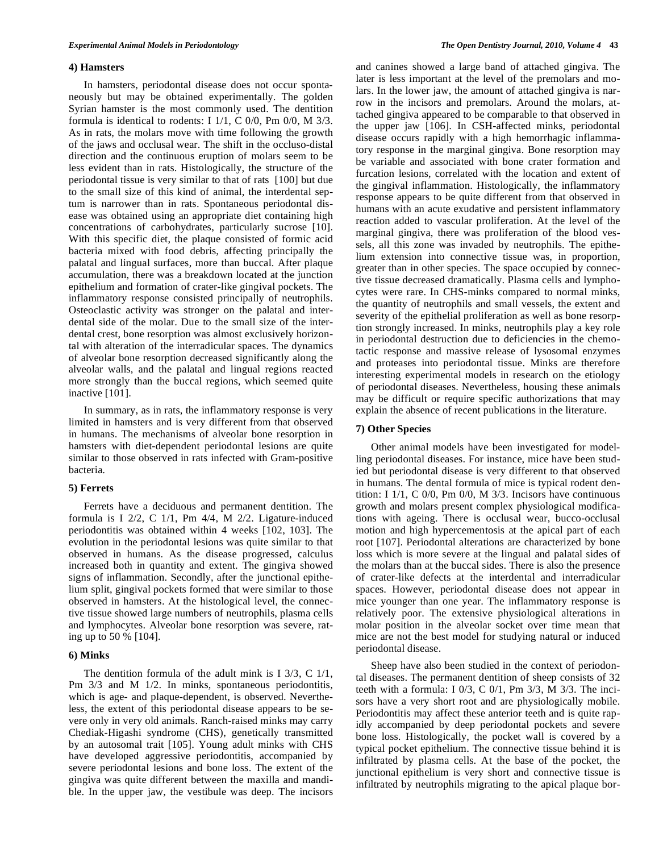#### **4) Hamsters**

In hamsters, periodontal disease does not occur spontaneously but may be obtained experimentally. The golden Syrian hamster is the most commonly used. The dentition formula is identical to rodents: I 1/1, C 0/0, Pm 0/0, M 3/3. As in rats, the molars move with time following the growth of the jaws and occlusal wear. The shift in the occluso-distal direction and the continuous eruption of molars seem to be less evident than in rats. Histologically, the structure of the periodontal tissue is very similar to that of rats [100] but due to the small size of this kind of animal, the interdental septum is narrower than in rats. Spontaneous periodontal disease was obtained using an appropriate diet containing high concentrations of carbohydrates, particularly sucrose [10]. With this specific diet, the plaque consisted of formic acid bacteria mixed with food debris, affecting principally the palatal and lingual surfaces, more than buccal. After plaque accumulation, there was a breakdown located at the junction epithelium and formation of crater-like gingival pockets. The inflammatory response consisted principally of neutrophils. Osteoclastic activity was stronger on the palatal and interdental side of the molar. Due to the small size of the interdental crest, bone resorption was almost exclusively horizontal with alteration of the interradicular spaces. The dynamics of alveolar bone resorption decreased significantly along the alveolar walls, and the palatal and lingual regions reacted more strongly than the buccal regions, which seemed quite inactive [101].

In summary, as in rats, the inflammatory response is very limited in hamsters and is very different from that observed in humans. The mechanisms of alveolar bone resorption in hamsters with diet-dependent periodontal lesions are quite similar to those observed in rats infected with Gram-positive bacteria.

#### **5) Ferrets**

Ferrets have a deciduous and permanent dentition. The formula is I 2/2, C 1/1, Pm 4/4, M 2/2. Ligature-induced periodontitis was obtained within 4 weeks [102, 103]. The evolution in the periodontal lesions was quite similar to that observed in humans. As the disease progressed, calculus increased both in quantity and extent. The gingiva showed signs of inflammation. Secondly, after the junctional epithelium split, gingival pockets formed that were similar to those observed in hamsters. At the histological level, the connective tissue showed large numbers of neutrophils, plasma cells and lymphocytes. Alveolar bone resorption was severe, rating up to 50 % [104].

## **6) Minks**

The dentition formula of the adult mink is I 3/3, C 1/1, Pm 3/3 and M 1/2. In minks, spontaneous periodontitis, which is age- and plaque-dependent, is observed. Nevertheless, the extent of this periodontal disease appears to be severe only in very old animals. Ranch-raised minks may carry Chediak-Higashi syndrome (CHS), genetically transmitted by an autosomal trait [105]. Young adult minks with CHS have developed aggressive periodontitis, accompanied by severe periodontal lesions and bone loss. The extent of the gingiva was quite different between the maxilla and mandible. In the upper jaw, the vestibule was deep. The incisors and canines showed a large band of attached gingiva. The later is less important at the level of the premolars and molars. In the lower jaw, the amount of attached gingiva is narrow in the incisors and premolars. Around the molars, attached gingiva appeared to be comparable to that observed in the upper jaw [106]. In CSH-affected minks, periodontal disease occurs rapidly with a high hemorrhagic inflammatory response in the marginal gingiva. Bone resorption may be variable and associated with bone crater formation and furcation lesions, correlated with the location and extent of the gingival inflammation. Histologically, the inflammatory response appears to be quite different from that observed in humans with an acute exudative and persistent inflammatory reaction added to vascular proliferation. At the level of the marginal gingiva, there was proliferation of the blood vessels, all this zone was invaded by neutrophils. The epithelium extension into connective tissue was, in proportion, greater than in other species. The space occupied by connective tissue decreased dramatically. Plasma cells and lymphocytes were rare. In CHS-minks compared to normal minks, the quantity of neutrophils and small vessels, the extent and severity of the epithelial proliferation as well as bone resorption strongly increased. In minks, neutrophils play a key role in periodontal destruction due to deficiencies in the chemotactic response and massive release of lysosomal enzymes and proteases into periodontal tissue. Minks are therefore interesting experimental models in research on the etiology of periodontal diseases. Nevertheless, housing these animals may be difficult or require specific authorizations that may explain the absence of recent publications in the literature.

## **7) Other Species**

Other animal models have been investigated for modelling periodontal diseases. For instance, mice have been studied but periodontal disease is very different to that observed in humans. The dental formula of mice is typical rodent dentition: I 1/1, C 0/0, Pm 0/0, M 3/3. Incisors have continuous growth and molars present complex physiological modifications with ageing. There is occlusal wear, bucco-occlusal motion and high hypercementosis at the apical part of each root [107]. Periodontal alterations are characterized by bone loss which is more severe at the lingual and palatal sides of the molars than at the buccal sides. There is also the presence of crater-like defects at the interdental and interradicular spaces. However, periodontal disease does not appear in mice younger than one year. The inflammatory response is relatively poor. The extensive physiological alterations in molar position in the alveolar socket over time mean that mice are not the best model for studying natural or induced periodontal disease.

Sheep have also been studied in the context of periodontal diseases. The permanent dentition of sheep consists of 32 teeth with a formula: I 0/3, C 0/1, Pm 3/3, M 3/3. The incisors have a very short root and are physiologically mobile. Periodontitis may affect these anterior teeth and is quite rapidly accompanied by deep periodontal pockets and severe bone loss. Histologically, the pocket wall is covered by a typical pocket epithelium. The connective tissue behind it is infiltrated by plasma cells. At the base of the pocket, the junctional epithelium is very short and connective tissue is infiltrated by neutrophils migrating to the apical plaque bor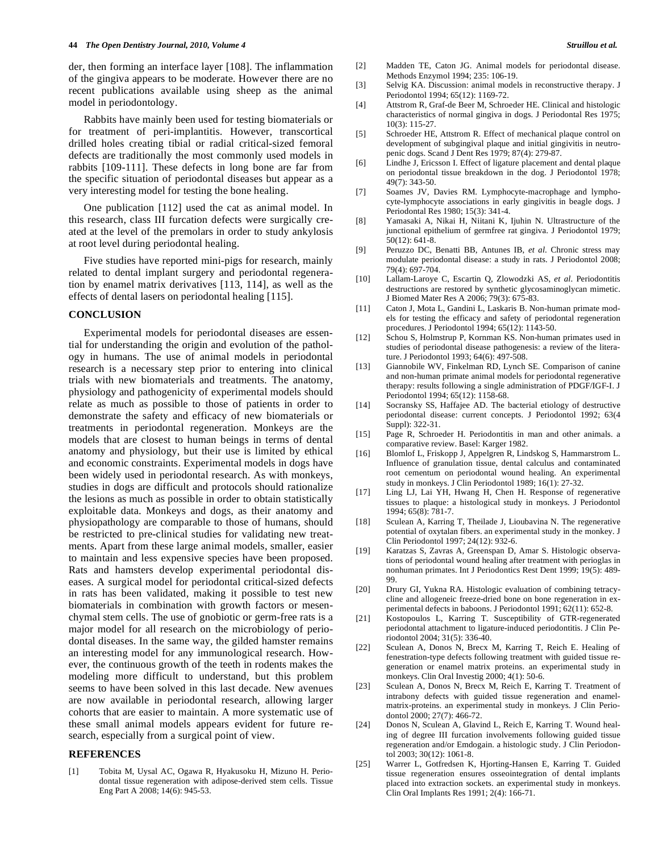der, then forming an interface layer [108]. The inflammation of the gingiva appears to be moderate. However there are no recent publications available using sheep as the animal model in periodontology.

Rabbits have mainly been used for testing biomaterials or for treatment of peri-implantitis. However, transcortical drilled holes creating tibial or radial critical-sized femoral defects are traditionally the most commonly used models in rabbits [109-111]. These defects in long bone are far from the specific situation of periodontal diseases but appear as a very interesting model for testing the bone healing.

One publication [112] used the cat as animal model. In this research, class III furcation defects were surgically created at the level of the premolars in order to study ankylosis at root level during periodontal healing.

Five studies have reported mini-pigs for research, mainly related to dental implant surgery and periodontal regeneration by enamel matrix derivatives [113, 114], as well as the effects of dental lasers on periodontal healing [115].

#### **CONCLUSION**

Experimental models for periodontal diseases are essential for understanding the origin and evolution of the pathology in humans. The use of animal models in periodontal research is a necessary step prior to entering into clinical trials with new biomaterials and treatments. The anatomy, physiology and pathogenicity of experimental models should relate as much as possible to those of patients in order to demonstrate the safety and efficacy of new biomaterials or treatments in periodontal regeneration. Monkeys are the models that are closest to human beings in terms of dental anatomy and physiology, but their use is limited by ethical and economic constraints. Experimental models in dogs have been widely used in periodontal research. As with monkeys, studies in dogs are difficult and protocols should rationalize the lesions as much as possible in order to obtain statistically exploitable data. Monkeys and dogs, as their anatomy and physiopathology are comparable to those of humans, should be restricted to pre-clinical studies for validating new treatments. Apart from these large animal models, smaller, easier to maintain and less expensive species have been proposed. Rats and hamsters develop experimental periodontal diseases. A surgical model for periodontal critical-sized defects in rats has been validated, making it possible to test new biomaterials in combination with growth factors or mesenchymal stem cells. The use of gnobiotic or germ-free rats is a major model for all research on the microbiology of periodontal diseases. In the same way, the gilded hamster remains an interesting model for any immunological research. However, the continuous growth of the teeth in rodents makes the modeling more difficult to understand, but this problem seems to have been solved in this last decade. New avenues are now available in periodontal research, allowing larger cohorts that are easier to maintain. A more systematic use of these small animal models appears evident for future research, especially from a surgical point of view.

#### **REFERENCES**

[1] Tobita M, Uysal AC, Ogawa R, Hyakusoku H, Mizuno H. Periodontal tissue regeneration with adipose-derived stem cells. Tissue Eng Part A 2008; 14(6): 945-53.

- [2] Madden TE, Caton JG. Animal models for periodontal disease. Methods Enzymol 1994; 235: 106-19.
- [3] Selvig KA. Discussion: animal models in reconstructive therapy. J Periodontol 1994; 65(12): 1169-72.
- [4] Attstrom R, Graf-de Beer M, Schroeder HE. Clinical and histologic characteristics of normal gingiva in dogs. J Periodontal Res 1975; 10(3): 115-27.
- [5] Schroeder HE, Attstrom R. Effect of mechanical plaque control on development of subgingival plaque and initial gingivitis in neutropenic dogs. Scand J Dent Res 1979; 87(4): 279-87.
- [6] Lindhe J, Ericsson I. Effect of ligature placement and dental plaque on periodontal tissue breakdown in the dog. J Periodontol 1978; 49(7): 343-50.
- [7] Soames JV, Davies RM. Lymphocyte-macrophage and lymphocyte-lymphocyte associations in early gingivitis in beagle dogs. J Periodontal Res 1980; 15(3): 341-4.
- [8] Yamasaki A, Nikai H, Niitani K, Ijuhin N. Ultrastructure of the junctional epithelium of germfree rat gingiva. J Periodontol 1979; 50(12): 641-8.
- [9] Peruzzo DC, Benatti BB, Antunes IB, *et al*. Chronic stress may modulate periodontal disease: a study in rats. J Periodontol 2008; 79(4): 697-704.
- [10] Lallam-Laroye C, Escartin Q, Zlowodzki AS, *et al*. Periodontitis destructions are restored by synthetic glycosaminoglycan mimetic. J Biomed Mater Res A 2006; 79(3): 675-83.
- [11] Caton J, Mota L, Gandini L, Laskaris B. Non-human primate models for testing the efficacy and safety of periodontal regeneration procedures. J Periodontol 1994; 65(12): 1143-50.
- [12] Schou S, Holmstrup P, Kornman KS. Non-human primates used in studies of periodontal disease pathogenesis: a review of the literature. J Periodontol 1993; 64(6): 497-508.
- [13] Giannobile WV, Finkelman RD, Lynch SE. Comparison of canine and non-human primate animal models for periodontal regenerative therapy: results following a single administration of PDGF/IGF-I. J Periodontol 1994; 65(12): 1158-68.
- [14] Socransky SS, Haffajee AD. The bacterial etiology of destructive periodontal disease: current concepts. J Periodontol 1992; 63(4 Suppl): 322-31.
- [15] Page R, Schroeder H. Periodontitis in man and other animals. a comparative review. Basel: Karger 1982.
- [16] Blomlof L, Friskopp J, Appelgren R, Lindskog S, Hammarstrom L. Influence of granulation tissue, dental calculus and contaminated root cementum on periodontal wound healing. An experimental study in monkeys. J Clin Periodontol 1989; 16(1): 27-32.
- [17] Ling LJ, Lai YH, Hwang H, Chen H. Response of regenerative tissues to plaque: a histological study in monkeys. J Periodontol 1994; 65(8): 781-7.
- [18] Sculean A, Karring T, Theilade J, Lioubavina N. The regenerative potential of oxytalan fibers. an experimental study in the monkey. J Clin Periodontol 1997; 24(12): 932-6.
- [19] Karatzas S, Zavras A, Greenspan D, Amar S. Histologic observations of periodontal wound healing after treatment with perioglas in nonhuman primates. Int J Periodontics Rest Dent 1999; 19(5): 489- 99.
- [20] Drury GI, Yukna RA. Histologic evaluation of combining tetracycline and allogeneic freeze-dried bone on bone regeneration in experimental defects in baboons. J Periodontol 1991; 62(11): 652-8.
- [21] Kostopoulos L, Karring T. Susceptibility of GTR-regenerated periodontal attachment to ligature-induced periodontitis. J Clin Periodontol 2004; 31(5): 336-40.
- [22] Sculean A, Donos N, Brecx M, Karring T, Reich E. Healing of fenestration-type defects following treatment with guided tissue regeneration or enamel matrix proteins. an experimental study in monkeys. Clin Oral Investig 2000; 4(1): 50-6.
- [23] Sculean A, Donos N, Brecx M, Reich E, Karring T. Treatment of intrabony defects with guided tissue regeneration and enamelmatrix-proteins. an experimental study in monkeys. J Clin Periodontol 2000; 27(7): 466-72.
- [24] Donos N, Sculean A, Glavind L, Reich E, Karring T. Wound healing of degree III furcation involvements following guided tissue regeneration and/or Emdogain. a histologic study. J Clin Periodontol 2003; 30(12): 1061-8.
- [25] Warrer L, Gotfredsen K, Hjorting-Hansen E, Karring T. Guided tissue regeneration ensures osseointegration of dental implants placed into extraction sockets. an experimental study in monkeys. Clin Oral Implants Res 1991; 2(4): 166-71.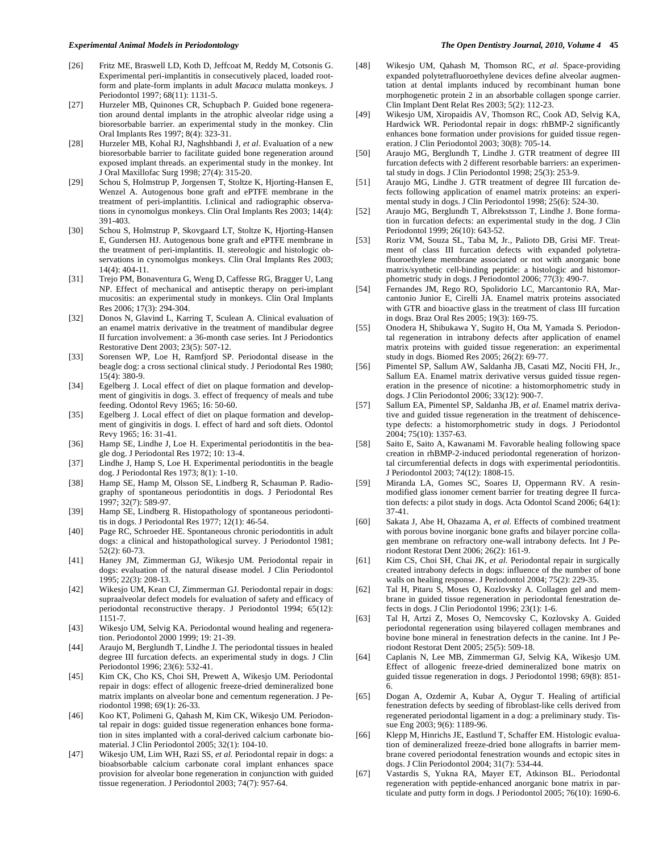- [26] Fritz ME, Braswell LD, Koth D, Jeffcoat M, Reddy M, Cotsonis G. Experimental peri-implantitis in consecutively placed, loaded rootform and plate-form implants in adult *Macaca* mulatta monkeys. J Periodontol 1997; 68(11): 1131-5.
- [27] Hurzeler MB, Quinones CR, Schupbach P. Guided bone regeneration around dental implants in the atrophic alveolar ridge using a bioresorbable barrier. an experimental study in the monkey. Clin Oral Implants Res 1997; 8(4): 323-31.
- [28] Hurzeler MB, Kohal RJ, Naghshbandi J, *et al*. Evaluation of a new bioresorbable barrier to facilitate guided bone regeneration around exposed implant threads. an experimental study in the monkey. Int J Oral Maxillofac Surg 1998; 27(4): 315-20.
- [29] Schou S, Holmstrup P, Jorgensen T, Stoltze K, Hjorting-Hansen E, Wenzel A. Autogenous bone graft and ePTFE membrane in the treatment of peri-implantitis. I.clinical and radiographic observations in cynomolgus monkeys. Clin Oral Implants Res 2003; 14(4): 391-403.
- [30] Schou S, Holmstrup P, Skovgaard LT, Stoltze K, Hjorting-Hansen E, Gundersen HJ. Autogenous bone graft and ePTFE membrane in the treatment of peri-implantitis. II. stereologic and histologic observations in cynomolgus monkeys. Clin Oral Implants Res 2003; 14(4): 404-11.
- [31] Trejo PM, Bonaventura G, Weng D, Caffesse RG, Bragger U, Lang NP. Effect of mechanical and antiseptic therapy on peri-implant mucositis: an experimental study in monkeys. Clin Oral Implants Res 2006; 17(3): 294-304.
- [32] Donos N, Glavind L, Karring T, Sculean A. Clinical evaluation of an enamel matrix derivative in the treatment of mandibular degree II furcation involvement: a 36-month case series. Int J Periodontics Restorative Dent 2003; 23(5): 507-12.
- [33] Sorensen WP, Loe H, Ramfjord SP. Periodontal disease in the beagle dog: a cross sectional clinical study. J Periodontal Res 1980; 15(4): 380-9.
- [34] Egelberg J. Local effect of diet on plaque formation and development of gingivitis in dogs. 3. effect of frequency of meals and tube feeding. Odontol Revy 1965; 16: 50-60.
- [35] Egelberg J. Local effect of diet on plaque formation and development of gingivitis in dogs. I. effect of hard and soft diets. Odontol Revy 1965; 16: 31-41.
- [36] Hamp SE, Lindhe J, Loe H. Experimental periodontitis in the beagle dog. J Periodontal Res 1972; 10: 13-4.
- [37] Lindhe J, Hamp S, Loe H. Experimental periodontitis in the beagle dog. J Periodontal Res 1973; 8(1): 1-10.
- [38] Hamp SE, Hamp M, Olsson SE, Lindberg R, Schauman P. Radiography of spontaneous periodontitis in dogs. J Periodontal Res 1997; 32(7): 589-97.
- [39] Hamp SE, Lindberg R. Histopathology of spontaneous periodontitis in dogs. J Periodontal Res 1977; 12(1): 46-54.
- [40] Page RC, Schroeder HE. Spontaneous chronic periodontitis in adult dogs: a clinical and histopathological survey. J Periodontol 1981; 52(2): 60-73.
- [41] Haney JM, Zimmerman GJ, Wikesjo UM. Periodontal repair in dogs: evaluation of the natural disease model. J Clin Periodontol 1995; 22(3): 208-13.
- [42] Wikesjo UM, Kean CJ, Zimmerman GJ. Periodontal repair in dogs: supraalveolar defect models for evaluation of safety and efficacy of periodontal reconstructive therapy. J Periodontol 1994; 65(12): 1151-7.
- [43] Wikesjo UM, Selvig KA. Periodontal wound healing and regeneration. Periodontol 2000 1999; 19: 21-39.
- [44] Araujo M, Berglundh T, Lindhe J. The periodontal tissues in healed degree III furcation defects. an experimental study in dogs. J Clin Periodontol 1996; 23(6): 532-41.
- [45] Kim CK, Cho KS, Choi SH, Prewett A, Wikesjo UM. Periodontal repair in dogs: effect of allogenic freeze-dried demineralized bone matrix implants on alveolar bone and cementum regeneration. J Periodontol 1998; 69(1): 26-33.
- [46] Koo KT, Polimeni G, Qahash M, Kim CK, Wikesjo UM. Periodontal repair in dogs: guided tissue regeneration enhances bone formation in sites implanted with a coral-derived calcium carbonate biomaterial. J Clin Periodontol 2005; 32(1): 104-10.
- [47] Wikesjo UM, Lim WH, Razi SS, *et al.* Periodontal repair in dogs: a bioabsorbable calcium carbonate coral implant enhances space provision for alveolar bone regeneration in conjunction with guided tissue regeneration. J Periodontol 2003; 74(7): 957-64.
- [48] Wikesjo UM, Qahash M, Thomson RC, *et al*. Space-providing expanded polytetrafluoroethylene devices define alveolar augmentation at dental implants induced by recombinant human bone morphogenetic protein 2 in an absorbable collagen sponge carrier. Clin Implant Dent Relat Res 2003; 5(2): 112-23.
- [49] Wikesjo UM, Xiropaidis AV, Thomson RC, Cook AD, Selvig KA, Hardwick WR. Periodontal repair in dogs: rhBMP-2 significantly enhances bone formation under provisions for guided tissue regeneration. J Clin Periodontol 2003; 30(8): 705-14.
- [50] Araujo MG, Berglundh T, Lindhe J. GTR treatment of degree III furcation defects with 2 different resorbable barriers: an experimental study in dogs. J Clin Periodontol 1998; 25(3): 253-9.
- [51] Araujo MG, Lindhe J. GTR treatment of degree III furcation defects following application of enamel matrix proteins: an experimental study in dogs. J Clin Periodontol 1998; 25(6): 524-30.
- [52] Araujo MG, Berglundh T, Albrekstsson T, Lindhe J. Bone formation in furcation defects: an experimental study in the dog. J Clin Periodontol 1999; 26(10): 643-52.
- [53] Roriz VM, Souza SL, Taba M, Jr., Palioto DB, Grisi MF. Treatment of class III furcation defects with expanded polytetrafluoroethylene membrane associated or not with anorganic bone matrix/synthetic cell-binding peptide: a histologic and histomorphometric study in dogs. J Periodontol 2006; 77(3): 490-7.
- [54] Fernandes JM, Rego RO, Spolidorio LC, Marcantonio RA, Marcantonio Junior E, Cirelli JA. Enamel matrix proteins associated with GTR and bioactive glass in the treatment of class III furcation in dogs. Braz Oral Res 2005; 19(3): 169-75.
- [55] Onodera H, Shibukawa Y, Sugito H, Ota M, Yamada S. Periodontal regeneration in intrabony defects after application of enamel matrix proteins with guided tissue regeneration: an experimental study in dogs. Biomed Res 2005; 26(2): 69-77.
- [56] Pimentel SP, Sallum AW, Saldanha JB, Casati MZ, Nociti FH, Jr., Sallum EA. Enamel matrix derivative versus guided tissue regeneration in the presence of nicotine: a histomorphometric study in dogs. J Clin Periodontol 2006; 33(12): 900-7.
- [57] Sallum EA, Pimentel SP, Saldanha JB, *et al*. Enamel matrix derivative and guided tissue regeneration in the treatment of dehiscencetype defects: a histomorphometric study in dogs. J Periodontol 2004; 75(10): 1357-63.
- [58] Saito E, Saito A, Kawanami M. Favorable healing following space creation in rhBMP-2-induced periodontal regeneration of horizontal circumferential defects in dogs with experimental periodontitis. J Periodontol 2003; 74(12): 1808-15.
- [59] Miranda LA, Gomes SC, Soares IJ, Oppermann RV. A resinmodified glass ionomer cement barrier for treating degree II furcation defects: a pilot study in dogs. Acta Odontol Scand 2006; 64(1): 37-41.
- [60] Sakata J, Abe H, Ohazama A, *et al.* Effects of combined treatment with porous bovine inorganic bone grafts and bilayer porcine collagen membrane on refractory one-wall intrabony defects. Int J Periodont Restorat Dent 2006; 26(2): 161-9.
- [61] Kim CS, Choi SH, Chai JK, *et al*. Periodontal repair in surgically created intrabony defects in dogs: influence of the number of bone walls on healing response. J Periodontol 2004; 75(2): 229-35.
- [62] Tal H, Pitaru S, Moses O, Kozlovsky A. Collagen gel and membrane in guided tissue regeneration in periodontal fenestration defects in dogs. J Clin Periodontol 1996;  $23(1)$ : 1-6.
- [63] Tal H, Artzi Z, Moses O, Nemcovsky C, Kozlovsky A. Guided periodontal regeneration using bilayered collagen membranes and bovine bone mineral in fenestration defects in the canine. Int J Periodont Restorat Dent 2005; 25(5): 509-18.
- [64] Caplanis N, Lee MB, Zimmerman GJ, Selvig KA, Wikesjo UM. Effect of allogenic freeze-dried demineralized bone matrix on guided tissue regeneration in dogs. J Periodontol 1998; 69(8): 851- 6.
- [65] Dogan A, Ozdemir A, Kubar A, Oygur T. Healing of artificial fenestration defects by seeding of fibroblast-like cells derived from regenerated periodontal ligament in a dog: a preliminary study. Tissue Eng 2003; 9(6): 1189-96.
- [66] Klepp M, Hinrichs JE, Eastlund T, Schaffer EM. Histologic evaluation of demineralized freeze-dried bone allografts in barrier membrane covered periodontal fenestration wounds and ectopic sites in dogs. J Clin Periodontol 2004; 31(7): 534-44.
- [67] Vastardis S, Yukna RA, Mayer ET, Atkinson BL. Periodontal regeneration with peptide-enhanced anorganic bone matrix in particulate and putty form in dogs. J Periodontol 2005; 76(10): 1690-6.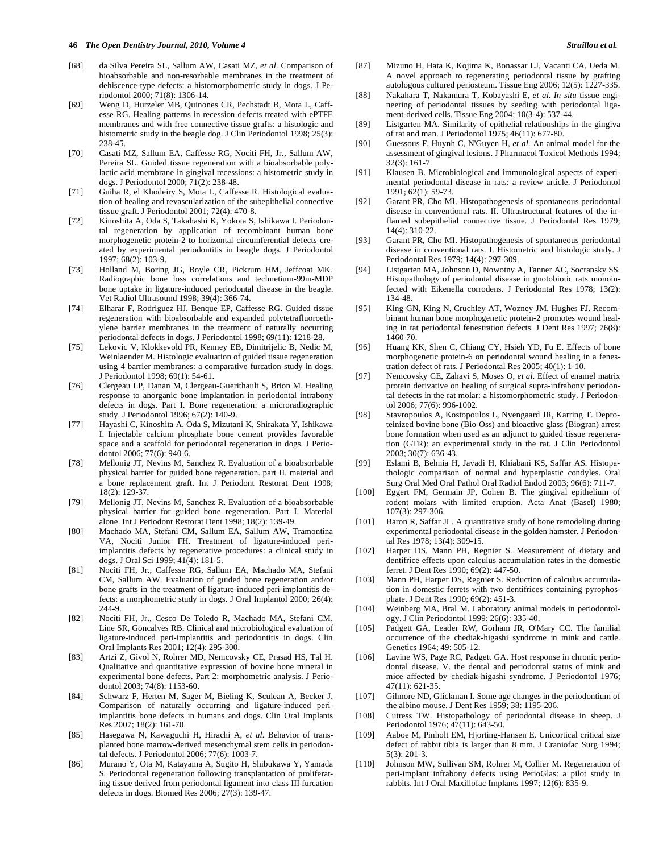- [68] da Silva Pereira SL, Sallum AW, Casati MZ, *et al*. Comparison of bioabsorbable and non-resorbable membranes in the treatment of dehiscence-type defects: a histomorphometric study in dogs. J Periodontol 2000; 71(8): 1306-14.
- [69] Weng D, Hurzeler MB, Quinones CR, Pechstadt B, Mota L, Caffesse RG. Healing patterns in recession defects treated with ePTFE membranes and with free connective tissue grafts: a histologic and histometric study in the beagle dog. J Clin Periodontol 1998; 25(3): 238-45.
- [70] Casati MZ, Sallum EA, Caffesse RG, Nociti FH, Jr., Sallum AW, Pereira SL. Guided tissue regeneration with a bioabsorbable polylactic acid membrane in gingival recessions: a histometric study in dogs. J Periodontol 2000; 71(2): 238-48.
- [71] Guiha R, el Khodeiry S, Mota L, Caffesse R. Histological evaluation of healing and revascularization of the subepithelial connective tissue graft. J Periodontol 2001; 72(4): 470-8.
- [72] Kinoshita A, Oda S, Takahashi K, Yokota S, Ishikawa I. Periodontal regeneration by application of recombinant human bone morphogenetic protein-2 to horizontal circumferential defects created by experimental periodontitis in beagle dogs. J Periodontol 1997; 68(2): 103-9.
- [73] Holland M, Boring JG, Boyle CR, Pickrum HM, Jeffcoat MK. Radiographic bone loss correlations and technetium-99m-MDP bone uptake in ligature-induced periodontal disease in the beagle. Vet Radiol Ultrasound 1998; 39(4): 366-74.
- [74] Elharar F, Rodriguez HJ, Benque EP, Caffesse RG. Guided tissue regeneration with bioabsorbable and expanded polytetrafluoroethylene barrier membranes in the treatment of naturally occurring periodontal defects in dogs. J Periodontol 1998; 69(11): 1218-28.
- [75] Lekovic V, Klokkevold PR, Kenney EB, Dimitrijelic B, Nedic M, Weinlaender M. Histologic evaluation of guided tissue regeneration using 4 barrier membranes: a comparative furcation study in dogs. J Periodontol 1998; 69(1): 54-61.
- [76] Clergeau LP, Danan M, Clergeau-Guerithault S, Brion M. Healing response to anorganic bone implantation in periodontal intrabony defects in dogs. Part I. Bone regeneration: a microradiographic study. J Periodontol 1996; 67(2): 140-9.
- [77] Hayashi C, Kinoshita A, Oda S, Mizutani K, Shirakata Y, Ishikawa I. Injectable calcium phosphate bone cement provides favorable space and a scaffold for periodontal regeneration in dogs. J Periodontol 2006; 77(6): 940-6.
- [78] Mellonig JT, Nevins M, Sanchez R. Evaluation of a bioabsorbable physical barrier for guided bone regeneration. part II. material and a bone replacement graft. Int J Periodont Restorat Dent 1998; 18(2): 129-37.
- [79] Mellonig JT, Nevins M, Sanchez R. Evaluation of a bioabsorbable physical barrier for guided bone regeneration. Part I. Material alone. Int J Periodont Restorat Dent 1998; 18(2): 139-49.
- [80] Machado MA, Stefani CM, Sallum EA, Sallum AW, Tramontina VA, Nociti Junior FH. Treatment of ligature-induced periimplantitis defects by regenerative procedures: a clinical study in dogs. J Oral Sci 1999; 41(4): 181-5.
- [81] Nociti FH, Jr., Caffesse RG, Sallum EA, Machado MA, Stefani CM, Sallum AW. Evaluation of guided bone regeneration and/or bone grafts in the treatment of ligature-induced peri-implantitis defects: a morphometric study in dogs. J Oral Implantol 2000; 26(4): 244-9.
- [82] Nociti FH, Jr., Cesco De Toledo R, Machado MA, Stefani CM, Line SR, Goncalves RB. Clinical and microbiological evaluation of ligature-induced peri-implantitis and periodontitis in dogs. Clin Oral Implants Res 2001; 12(4): 295-300.
- [83] Artzi Z, Givol N, Rohrer MD, Nemcovsky CE, Prasad HS, Tal H. Qualitative and quantitative expression of bovine bone mineral in experimental bone defects. Part 2: morphometric analysis. J Periodontol 2003; 74(8): 1153-60.
- [84] Schwarz F, Herten M, Sager M, Bieling K, Sculean A, Becker J. Comparison of naturally occurring and ligature-induced periimplantitis bone defects in humans and dogs. Clin Oral Implants Res 2007; 18(2): 161-70.
- [85] Hasegawa N, Kawaguchi H, Hirachi A, *et al*. Behavior of transplanted bone marrow-derived mesenchymal stem cells in periodontal defects. J Periodontol 2006; 77(6): 1003-7.
- [86] Murano Y, Ota M, Katayama A, Sugito H, Shibukawa Y, Yamada S. Periodontal regeneration following transplantation of proliferating tissue derived from periodontal ligament into class III furcation defects in dogs. Biomed Res 2006; 27(3): 139-47.
- [87] Mizuno H, Hata K, Kojima K, Bonassar LJ, Vacanti CA, Ueda M. A novel approach to regenerating periodontal tissue by grafting autologous cultured periosteum. Tissue Eng 2006; 12(5): 1227-335.
- [88] Nakahara T, Nakamura T, Kobayashi E, *et al*. *In situ* tissue engineering of periodontal tissues by seeding with periodontal ligament-derived cells. Tissue Eng 2004; 10(3-4): 537-44.
- [89] Listgarten MA. Similarity of epithelial relationships in the gingiva of rat and man. J Periodontol 1975; 46(11): 677-80.
- [90] Guessous F, Huynh C, N'Guyen H, *et al*. An animal model for the assessment of gingival lesions. J Pharmacol Toxicol Methods 1994; 32(3): 161-7.
- [91] Klausen B. Microbiological and immunological aspects of experimental periodontal disease in rats: a review article. J Periodontol 1991; 62(1): 59-73.
- [92] Garant PR, Cho MI. Histopathogenesis of spontaneous periodontal disease in conventional rats. II. Ultrastructural features of the inflamed subepithelial connective tissue. J Periodontal Res 1979; 14(4): 310-22.
- [93] Garant PR, Cho MI. Histopathogenesis of spontaneous periodontal disease in conventional rats. I. Histometric and histologic study. J Periodontal Res 1979; 14(4): 297-309.
- [94] Listgarten MA, Johnson D, Nowotny A, Tanner AC, Socransky SS. Histopathology of periodontal disease in gnotobiotic rats monoinfected with Eikenella corrodens. J Periodontal Res 1978; 13(2): 134-48.
- [95] King GN, King N, Cruchley AT, Wozney JM, Hughes FJ. Recombinant human bone morphogenetic protein-2 promotes wound healing in rat periodontal fenestration defects. J Dent Res 1997; 76(8): 1460-70.
- [96] Huang KK, Shen C, Chiang CY, Hsieh YD, Fu E. Effects of bone morphogenetic protein-6 on periodontal wound healing in a fenestration defect of rats. J Periodontal Res 2005; 40(1): 1-10.
- [97] Nemcovsky CE, Zahavi S, Moses O, *et al*. Effect of enamel matrix protein derivative on healing of surgical supra-infrabony periodontal defects in the rat molar: a histomorphometric study. J Periodontol 2006; 77(6): 996-1002.
- [98] Stavropoulos A, Kostopoulos L, Nyengaard JR, Karring T. Deproteinized bovine bone (Bio-Oss) and bioactive glass (Biogran) arrest bone formation when used as an adjunct to guided tissue regeneration (GTR): an experimental study in the rat. J Clin Periodontol 2003; 30(7): 636-43.
- [99] Eslami B, Behnia H, Javadi H, Khiabani KS, Saffar AS. Histopathologic comparison of normal and hyperplastic condyles. Oral Surg Oral Med Oral Pathol Oral Radiol Endod 2003; 96(6): 711-7.
- [100] Eggert FM, Germain JP, Cohen B. The gingival epithelium of rodent molars with limited eruption. Acta Anat (Basel) 1980; 107(3): 297-306.
- [101] Baron R, Saffar JL. A quantitative study of bone remodeling during experimental periodontal disease in the golden hamster. J Periodontal Res 1978; 13(4): 309-15.
- [102] Harper DS, Mann PH, Regnier S. Measurement of dietary and dentifrice effects upon calculus accumulation rates in the domestic ferret. J Dent Res 1990; 69(2): 447-50.
- [103] Mann PH, Harper DS, Regnier S. Reduction of calculus accumulation in domestic ferrets with two dentifrices containing pyrophosphate. J Dent Res 1990; 69(2): 451-3.
- [104] Weinberg MA, Bral M. Laboratory animal models in periodontology. J Clin Periodontol 1999; 26(6): 335-40.
- [105] Padgett GA, Leader RW, Gorham JR, O'Mary CC. The familial occurrence of the chediak-higashi syndrome in mink and cattle. Genetics 1964; 49: 505-12.
- [106] Lavine WS, Page RC, Padgett GA. Host response in chronic periodontal disease. V. the dental and periodontal status of mink and mice affected by chediak-higashi syndrome. J Periodontol 1976; 47(11): 621-35.
- [107] Gilmore ND, Glickman I. Some age changes in the periodontium of the albino mouse. J Dent Res 1959; 38: 1195-206.
- [108] Cutress TW. Histopathology of periodontal disease in sheep. J Periodontol 1976; 47(11): 643-50.
- [109] Aaboe M, Pinholt EM, Hjorting-Hansen E. Unicortical critical size defect of rabbit tibia is larger than 8 mm. J Craniofac Surg 1994; 5(3): 201-3.
- [110] Johnson MW, Sullivan SM, Rohrer M, Collier M. Regeneration of peri-implant infrabony defects using PerioGlas: a pilot study in rabbits. Int J Oral Maxillofac Implants 1997; 12(6): 835-9.